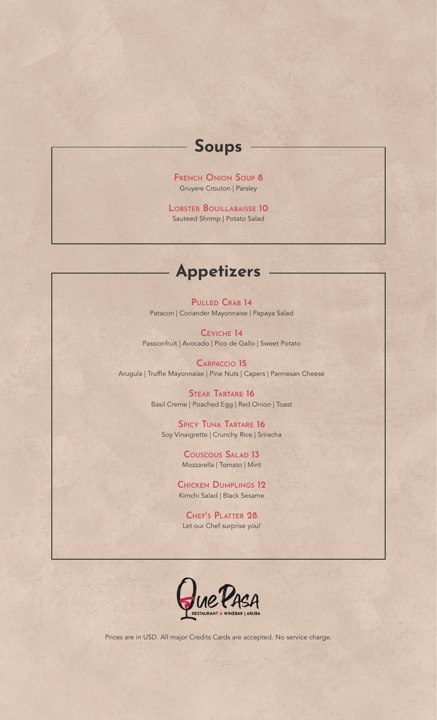## **Soups**

**French Onion Soup 8** Gruyere Crouton | Parsley

**Lobster Bouillabaisse 10** Sauteed Shrimp | Potato Salad

### **Appetizers**

**Pulled Crab 14** Patacon | Coriander Mayonnaise | Papaya Salad

**Ceviche 14** Passionfruit | Avocado | Pico de Gallo | Sweet Potato

**Carpaccio 15** Arugula | Truffle Mayonnaise | Pine Nuts | Capers | Parmesan Cheese

> **Steak Tartare 16** Basil Creme | Poached Egg | Red Onion | Toast

**Spicy Tuna Tartare 16** Soy Vinaigrette | Crunchy Rice | Sriracha

> **Couscous Salad 13** Mozzarella | Tomato | Mint

**Chicken Dumplings 12** Kimchi Salad | Black Sesame

**Chef's Platter 28** Let our Chef surprise you!

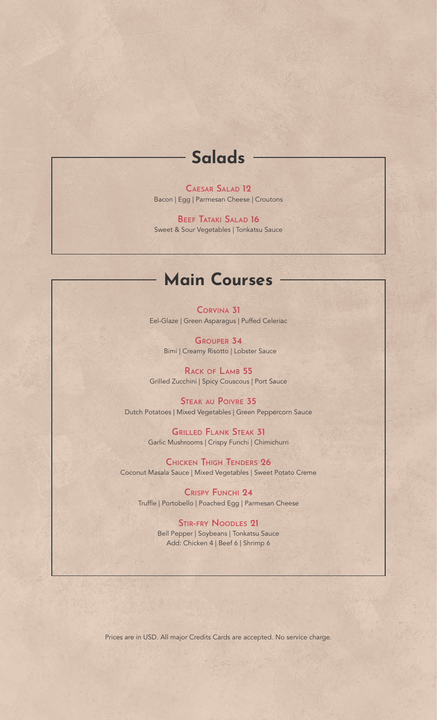# **Salads**

**Caesar Salad 12** Bacon | Egg | Parmesan Cheese | Croutons

**Beef Tataki Salad 16** Sweet & Sour Vegetables | Tonkatsu Sauce

## **Main Courses**

**Corvina 31** Eel-Glaze | Green Asparagus | Puffed Celeriac

**Grouper 34** Bimi | Creamy Risotto | Lobster Sauce

**Rack of Lamb 55** Grilled Zucchini | Spicy Couscous | Port Sauce

**Steak au Poivre 35** Dutch Potatoes | Mixed Vegetables | Green Peppercorn Sauce

> **Grilled Flank Steak 31** Garlic Mushrooms | Crispy Funchi | Chimichurri

**Chicken Thigh Tenders 26** Coconut Masala Sauce | Mixed Vegetables | Sweet Potato Creme

**Crispy Funchi 24** Truffle | Portobello | Poached Egg | Parmesan Cheese

> **Stir-fry Noodles 21** Bell Pepper | Soybeans | Tonkatsu Sauce Add: Chicken 4 | Beef 6 | Shrimp 6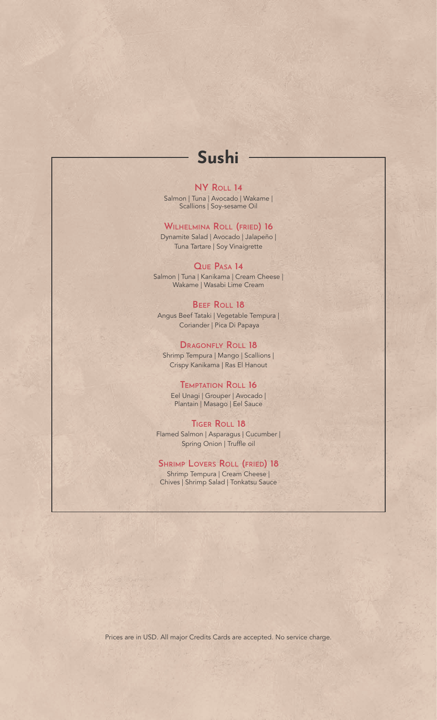# **Sushi**

### **NY Roll 14**

Salmon | Tuna | Avocado | Wakame | Scallions | Soy-sesame Oil

### **Wilhelmina Roll (fried) 16**

Dynamite Salad | Avocado | Jalapeño | Tuna Tartare | Soy Vinaigrette

#### **Que Pasa 14**

Salmon | Tuna | Kanikama | Cream Cheese | Wakame | Wasabi Lime Cream

#### **Beef Roll 18** Angus Beef Tataki | Vegetable Tempura | Coriander | Pica Di Papaya

### **Dragonfly Roll 18**

Shrimp Tempura | Mango | Scallions | Crispy Kanikama | Ras El Hanout

#### **Temptation Roll 16**

Eel Unagi | Grouper | Avocado | Plantain | Masago | Eel Sauce

#### **Tiger Roll 18**

Flamed Salmon | Asparagus | Cucumber | Spring Onion | Truffle oil

### **Shrimp Lovers Roll (fried) 18**

Shrimp Tempura | Cream Cheese | Chives | Shrimp Salad | Tonkatsu Sauce